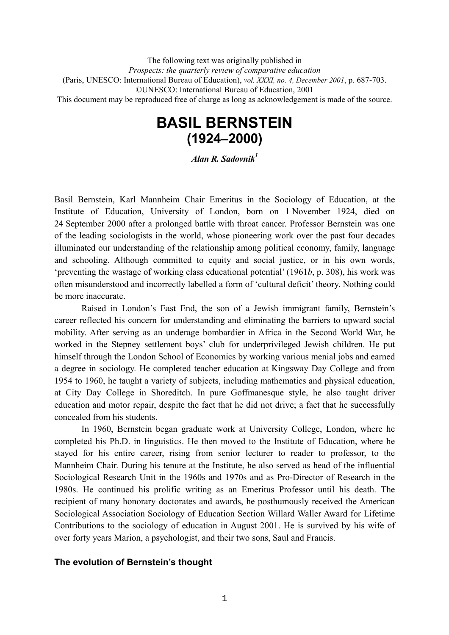The following text was originally published in *Prospects: the quarterly review of comparative education*  (Paris, UNESCO: International Bureau of Education), *vol. XXXI, no. 4, December 2001*, p. 687-703. ©UNESCO: International Bureau of Education, 2001 This document may be reproduced free of charge as long as acknowledgement is made of the source.

# **BASIL BERNSTEIN (1924–2000)**

*Alan R. Sadovnik1*

Basil Bernstein, Karl Mannheim Chair Emeritus in the Sociology of Education, at the Institute of Education, University of London, born on 1 November 1924, died on 24 September 2000 after a prolonged battle with throat cancer. Professor Bernstein was one of the leading sociologists in the world, whose pioneering work over the past four decades illuminated our understanding of the relationship among political economy, family, language and schooling. Although committed to equity and social justice, or in his own words, 'preventing the wastage of working class educational potential' (1961*b*, p. 308), his work was often misunderstood and incorrectly labelled a form of 'cultural deficit' theory. Nothing could be more inaccurate.

 Raised in London's East End, the son of a Jewish immigrant family, Bernstein's career reflected his concern for understanding and eliminating the barriers to upward social mobility. After serving as an underage bombardier in Africa in the Second World War, he worked in the Stepney settlement boys' club for underprivileged Jewish children. He put himself through the London School of Economics by working various menial jobs and earned a degree in sociology. He completed teacher education at Kingsway Day College and from 1954 to 1960, he taught a variety of subjects, including mathematics and physical education, at City Day College in Shoreditch. In pure Goffmanesque style, he also taught driver education and motor repair, despite the fact that he did not drive; a fact that he successfully concealed from his students.

 In 1960, Bernstein began graduate work at University College, London, where he completed his Ph.D. in linguistics. He then moved to the Institute of Education, where he stayed for his entire career, rising from senior lecturer to reader to professor, to the Mannheim Chair. During his tenure at the Institute, he also served as head of the influential Sociological Research Unit in the 1960s and 1970s and as Pro-Director of Research in the 1980s. He continued his prolific writing as an Emeritus Professor until his death. The recipient of many honorary doctorates and awards, he posthumously received the American Sociological Association Sociology of Education Section Willard Waller Award for Lifetime Contributions to the sociology of education in August 2001. He is survived by his wife of over forty years Marion, a psychologist, and their two sons, Saul and Francis.

### **The evolution of Bernstein's thought**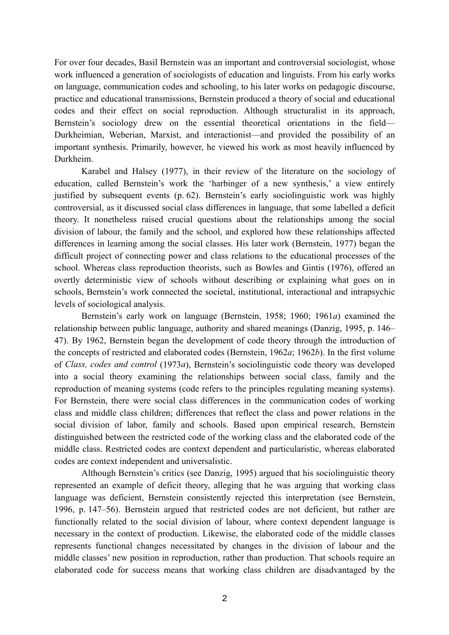For over four decades, Basil Bernstein was an important and controversial sociologist, whose work influenced a generation of sociologists of education and linguists. From his early works on language, communication codes and schooling, to his later works on pedagogic discourse, practice and educational transmissions, Bernstein produced a theory of social and educational codes and their effect on social reproduction. Although structuralist in its approach, Bernstein's sociology drew on the essential theoretical orientations in the field— Durkheimian, Weberian, Marxist, and interactionist—and provided the possibility of an important synthesis. Primarily, however, he viewed his work as most heavily influenced by Durkheim.

 Karabel and Halsey (1977), in their review of the literature on the sociology of education, called Bernstein's work the 'harbinger of a new synthesis,' a view entirely justified by subsequent events (p. 62). Bernstein's early sociolinguistic work was highly controversial, as it discussed social class differences in language, that some labelled a deficit theory. It nonetheless raised crucial questions about the relationships among the social division of labour, the family and the school, and explored how these relationships affected differences in learning among the social classes. His later work (Bernstein, 1977) began the difficult project of connecting power and class relations to the educational processes of the school. Whereas class reproduction theorists, such as Bowles and Gintis (1976), offered an overtly deterministic view of schools without describing or explaining what goes on in schools, Bernstein's work connected the societal, institutional, interactional and intrapsychic levels of sociological analysis.

 Bernstein's early work on language (Bernstein, 1958; 1960; 1961*a*) examined the relationship between public language, authority and shared meanings (Danzig, 1995, p. 146– 47). By 1962, Bernstein began the development of code theory through the introduction of the concepts of restricted and elaborated codes (Bernstein, 1962*a*; 1962*b*). In the first volume of *Class, codes and control* (1973*a*), Bernstein's sociolinguistic code theory was developed into a social theory examining the relationships between social class, family and the reproduction of meaning systems (code refers to the principles regulating meaning systems). For Bernstein, there were social class differences in the communication codes of working class and middle class children; differences that reflect the class and power relations in the social division of labor, family and schools. Based upon empirical research, Bernstein distinguished between the restricted code of the working class and the elaborated code of the middle class. Restricted codes are context dependent and particularistic, whereas elaborated codes are context independent and universalistic.

 Although Bernstein's critics (see Danzig, 1995) argued that his sociolinguistic theory represented an example of deficit theory, alleging that he was arguing that working class language was deficient, Bernstein consistently rejected this interpretation (see Bernstein, 1996, p. 147–56). Bernstein argued that restricted codes are not deficient, but rather are functionally related to the social division of labour, where context dependent language is necessary in the context of production. Likewise, the elaborated code of the middle classes represents functional changes necessitated by changes in the division of labour and the middle classes' new position in reproduction, rather than production. That schools require an elaborated code for success means that working class children are disadvantaged by the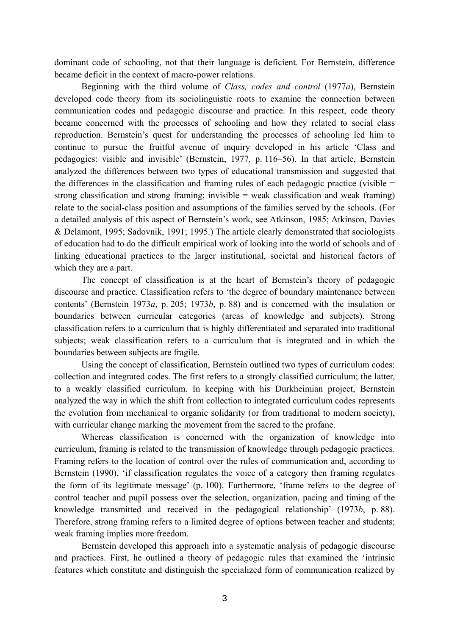dominant code of schooling, not that their language is deficient. For Bernstein, difference became deficit in the context of macro-power relations.

 Beginning with the third volume of *Class, codes and control* (1977*a*), Bernstein developed code theory from its sociolinguistic roots to examine the connection between communication codes and pedagogic discourse and practice. In this respect, code theory became concerned with the processes of schooling and how they related to social class reproduction. Bernstein's quest for understanding the processes of schooling led him to continue to pursue the fruitful avenue of inquiry developed in his article 'Class and pedagogies: visible and invisible' (Bernstein, 1977*,* p. 116–56). In that article, Bernstein analyzed the differences between two types of educational transmission and suggested that the differences in the classification and framing rules of each pedagogic practice (visible  $=$ strong classification and strong framing; invisible = weak classification and weak framing) relate to the social-class position and assumptions of the families served by the schools. (For a detailed analysis of this aspect of Bernstein's work, see Atkinson, 1985; Atkinson, Davies & Delamont, 1995; Sadovnik, 1991; 1995.) The article clearly demonstrated that sociologists of education had to do the difficult empirical work of looking into the world of schools and of linking educational practices to the larger institutional, societal and historical factors of which they are a part.

 The concept of classification is at the heart of Bernstein's theory of pedagogic discourse and practice. Classification refers to 'the degree of boundary maintenance between contents' (Bernstein 1973*a*, p. 205; 1973*b*, p. 88) and is concerned with the insulation or boundaries between curricular categories (areas of knowledge and subjects). Strong classification refers to a curriculum that is highly differentiated and separated into traditional subjects; weak classification refers to a curriculum that is integrated and in which the boundaries between subjects are fragile.

 Using the concept of classification, Bernstein outlined two types of curriculum codes: collection and integrated codes. The first refers to a strongly classified curriculum; the latter, to a weakly classified curriculum. In keeping with his Durkheimian project, Bernstein analyzed the way in which the shift from collection to integrated curriculum codes represents the evolution from mechanical to organic solidarity (or from traditional to modern society), with curricular change marking the movement from the sacred to the profane.

 Whereas classification is concerned with the organization of knowledge into curriculum, framing is related to the transmission of knowledge through pedagogic practices. Framing refers to the location of control over the rules of communication and, according to Bernstein (1990), 'if classification regulates the voice of a category then framing regulates the form of its legitimate message' (p. 100). Furthermore, 'frame refers to the degree of control teacher and pupil possess over the selection, organization, pacing and timing of the knowledge transmitted and received in the pedagogical relationship' (1973*b*, p. 88). Therefore, strong framing refers to a limited degree of options between teacher and students; weak framing implies more freedom.

 Bernstein developed this approach into a systematic analysis of pedagogic discourse and practices. First, he outlined a theory of pedagogic rules that examined the 'intrinsic features which constitute and distinguish the specialized form of communication realized by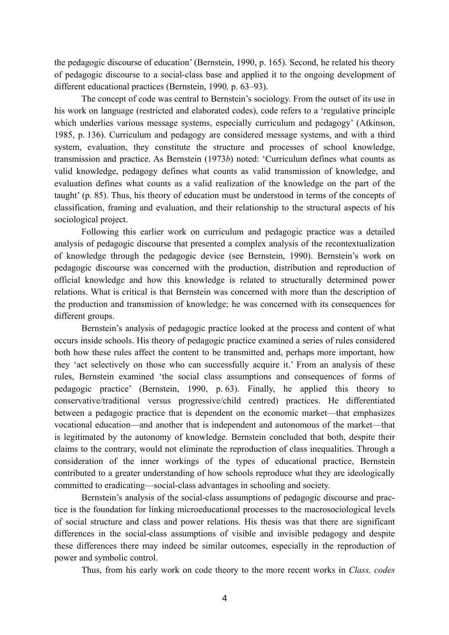the pedagogic discourse of education' (Bernstein, 1990, p. 165). Second, he related his theory of pedagogic discourse to a social-class base and applied it to the ongoing development of different educational practices (Bernstein, 1990*,* p. 63–93).

 The concept of code was central to Bernstein's sociology. From the outset of its use in his work on language (restricted and elaborated codes), code refers to a 'regulative principle which underlies various message systems, especially curriculum and pedagogy' (Atkinson, 1985, p. 136). Curriculum and pedagogy are considered message systems, and with a third system, evaluation, they constitute the structure and processes of school knowledge, transmission and practice. As Bernstein (1973*b*) noted: 'Curriculum defines what counts as valid knowledge, pedagogy defines what counts as valid transmission of knowledge, and evaluation defines what counts as a valid realization of the knowledge on the part of the taught' (p. 85). Thus, his theory of education must be understood in terms of the concepts of classification, framing and evaluation, and their relationship to the structural aspects of his sociological project.

 Following this earlier work on curriculum and pedagogic practice was a detailed analysis of pedagogic discourse that presented a complex analysis of the recontextualization of knowledge through the pedagogic device (see Bernstein, 1990). Bernstein's work on pedagogic discourse was concerned with the production, distribution and reproduction of official knowledge and how this knowledge is related to structurally determined power relations. What is critical is that Bernstein was concerned with more than the description of the production and transmission of knowledge; he was concerned with its consequences for different groups.

 Bernstein's analysis of pedagogic practice looked at the process and content of what occurs inside schools. His theory of pedagogic practice examined a series of rules considered both how these rules affect the content to be transmitted and, perhaps more important, how they 'act selectively on those who can successfully acquire it.' From an analysis of these rules, Bernstein examined 'the social class assumptions and consequences of forms of pedagogic practice' (Bernstein, 1990, p. 63). Finally, he applied this theory to conservative/traditional versus progressive/child centred) practices. He differentiated between a pedagogic practice that is dependent on the economic market—that emphasizes vocational education—and another that is independent and autonomous of the market—that is legitimated by the autonomy of knowledge. Bernstein concluded that both, despite their claims to the contrary, would not eliminate the reproduction of class inequalities. Through a consideration of the inner workings of the types of educational practice, Bernstein contributed to a greater understanding of how schools reproduce what they are ideologically committed to eradicating—social-class advantages in schooling and society.

 Bernstein's analysis of the social-class assumptions of pedagogic discourse and practice is the foundation for linking microeducational processes to the macrosociological levels of social structure and class and power relations. His thesis was that there are significant differences in the social-class assumptions of visible and invisible pedagogy and despite these differences there may indeed be similar outcomes, especially in the reproduction of power and symbolic control.

Thus, from his early work on code theory to the more recent works in *Class, codes*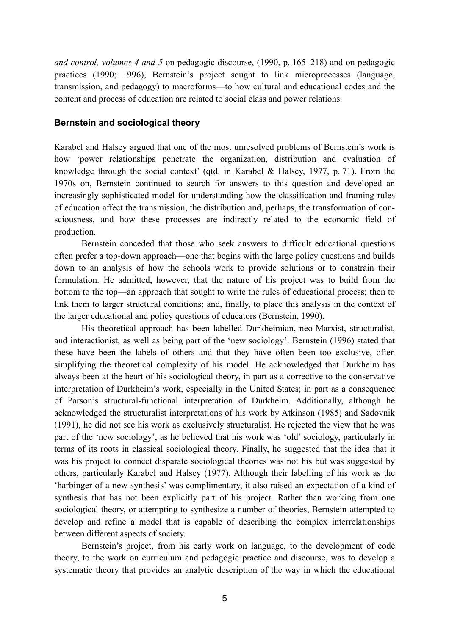*and control, volumes 4 and 5* on pedagogic discourse, (1990, p. 165–218) and on pedagogic practices (1990; 1996), Bernstein's project sought to link microprocesses (language, transmission, and pedagogy) to macroforms—to how cultural and educational codes and the content and process of education are related to social class and power relations.

## **Bernstein and sociological theory**

Karabel and Halsey argued that one of the most unresolved problems of Bernstein's work is how 'power relationships penetrate the organization, distribution and evaluation of knowledge through the social context' (qtd. in Karabel & Halsey, 1977, p. 71). From the 1970s on, Bernstein continued to search for answers to this question and developed an increasingly sophisticated model for understanding how the classification and framing rules of education affect the transmission, the distribution and, perhaps, the transformation of consciousness, and how these processes are indirectly related to the economic field of production.

 Bernstein conceded that those who seek answers to difficult educational questions often prefer a top-down approach—one that begins with the large policy questions and builds down to an analysis of how the schools work to provide solutions or to constrain their formulation. He admitted, however, that the nature of his project was to build from the bottom to the top—an approach that sought to write the rules of educational process; then to link them to larger structural conditions; and, finally, to place this analysis in the context of the larger educational and policy questions of educators (Bernstein, 1990).

 His theoretical approach has been labelled Durkheimian, neo-Marxist, structuralist, and interactionist, as well as being part of the 'new sociology'. Bernstein (1996) stated that these have been the labels of others and that they have often been too exclusive, often simplifying the theoretical complexity of his model. He acknowledged that Durkheim has always been at the heart of his sociological theory, in part as a corrective to the conservative interpretation of Durkheim's work, especially in the United States; in part as a consequence of Parson's structural-functional interpretation of Durkheim. Additionally, although he acknowledged the structuralist interpretations of his work by Atkinson (1985) and Sadovnik (1991), he did not see his work as exclusively structuralist. He rejected the view that he was part of the 'new sociology', as he believed that his work was 'old' sociology, particularly in terms of its roots in classical sociological theory. Finally, he suggested that the idea that it was his project to connect disparate sociological theories was not his but was suggested by others, particularly Karabel and Halsey (1977). Although their labelling of his work as the 'harbinger of a new synthesis' was complimentary, it also raised an expectation of a kind of synthesis that has not been explicitly part of his project. Rather than working from one sociological theory, or attempting to synthesize a number of theories, Bernstein attempted to develop and refine a model that is capable of describing the complex interrelationships between different aspects of society.

 Bernstein's project, from his early work on language, to the development of code theory, to the work on curriculum and pedagogic practice and discourse, was to develop a systematic theory that provides an analytic description of the way in which the educational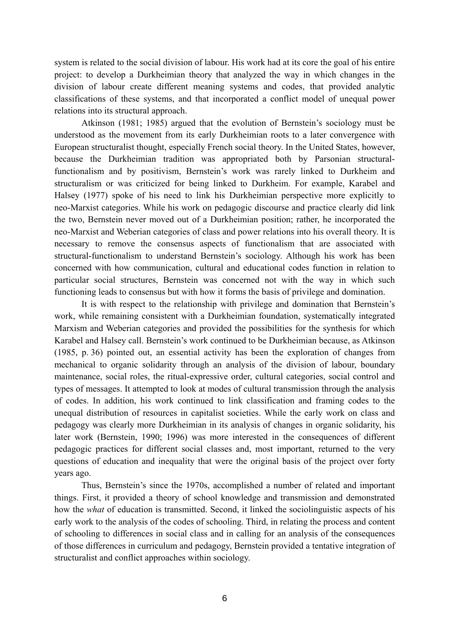system is related to the social division of labour. His work had at its core the goal of his entire project: to develop a Durkheimian theory that analyzed the way in which changes in the division of labour create different meaning systems and codes, that provided analytic classifications of these systems, and that incorporated a conflict model of unequal power relations into its structural approach.

 Atkinson (1981; 1985) argued that the evolution of Bernstein's sociology must be understood as the movement from its early Durkheimian roots to a later convergence with European structuralist thought, especially French social theory. In the United States, however, because the Durkheimian tradition was appropriated both by Parsonian structuralfunctionalism and by positivism, Bernstein's work was rarely linked to Durkheim and structuralism or was criticized for being linked to Durkheim. For example, Karabel and Halsey (1977) spoke of his need to link his Durkheimian perspective more explicitly to neo-Marxist categories. While his work on pedagogic discourse and practice clearly did link the two, Bernstein never moved out of a Durkheimian position; rather, he incorporated the neo-Marxist and Weberian categories of class and power relations into his overall theory. It is necessary to remove the consensus aspects of functionalism that are associated with structural-functionalism to understand Bernstein's sociology. Although his work has been concerned with how communication, cultural and educational codes function in relation to particular social structures, Bernstein was concerned not with the way in which such functioning leads to consensus but with how it forms the basis of privilege and domination.

 It is with respect to the relationship with privilege and domination that Bernstein's work, while remaining consistent with a Durkheimian foundation, systematically integrated Marxism and Weberian categories and provided the possibilities for the synthesis for which Karabel and Halsey call. Bernstein's work continued to be Durkheimian because, as Atkinson (1985, p. 36) pointed out, an essential activity has been the exploration of changes from mechanical to organic solidarity through an analysis of the division of labour, boundary maintenance, social roles, the ritual-expressive order, cultural categories, social control and types of messages. It attempted to look at modes of cultural transmission through the analysis of codes. In addition, his work continued to link classification and framing codes to the unequal distribution of resources in capitalist societies. While the early work on class and pedagogy was clearly more Durkheimian in its analysis of changes in organic solidarity, his later work (Bernstein, 1990; 1996) was more interested in the consequences of different pedagogic practices for different social classes and, most important, returned to the very questions of education and inequality that were the original basis of the project over forty years ago.

 Thus, Bernstein's since the 1970s, accomplished a number of related and important things. First, it provided a theory of school knowledge and transmission and demonstrated how the *what* of education is transmitted. Second, it linked the sociolinguistic aspects of his early work to the analysis of the codes of schooling. Third, in relating the process and content of schooling to differences in social class and in calling for an analysis of the consequences of those differences in curriculum and pedagogy, Bernstein provided a tentative integration of structuralist and conflict approaches within sociology.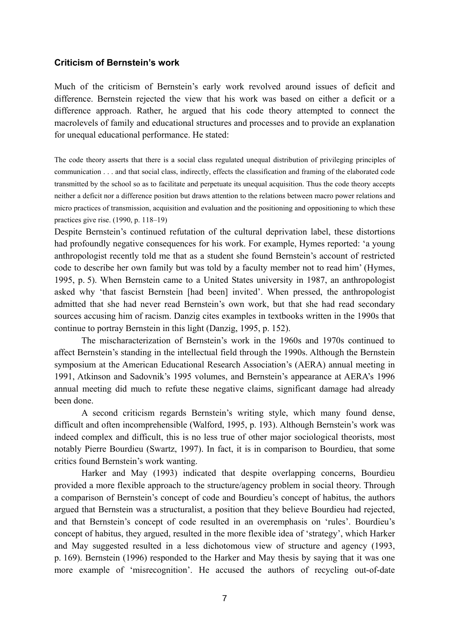#### **Criticism of Bernstein's work**

Much of the criticism of Bernstein's early work revolved around issues of deficit and difference. Bernstein rejected the view that his work was based on either a deficit or a difference approach. Rather, he argued that his code theory attempted to connect the macrolevels of family and educational structures and processes and to provide an explanation for unequal educational performance. He stated:

The code theory asserts that there is a social class regulated unequal distribution of privileging principles of communication . . . and that social class, indirectly, effects the classification and framing of the elaborated code transmitted by the school so as to facilitate and perpetuate its unequal acquisition. Thus the code theory accepts neither a deficit nor a difference position but draws attention to the relations between macro power relations and micro practices of transmission, acquisition and evaluation and the positioning and oppositioning to which these practices give rise. (1990, p. 118–19)

Despite Bernstein's continued refutation of the cultural deprivation label, these distortions had profoundly negative consequences for his work. For example, Hymes reported: 'a young anthropologist recently told me that as a student she found Bernstein's account of restricted code to describe her own family but was told by a faculty member not to read him' (Hymes, 1995, p. 5). When Bernstein came to a United States university in 1987, an anthropologist asked why 'that fascist Bernstein [had been] invited'. When pressed, the anthropologist admitted that she had never read Bernstein's own work, but that she had read secondary sources accusing him of racism. Danzig cites examples in textbooks written in the 1990s that continue to portray Bernstein in this light (Danzig, 1995, p. 152).

 The mischaracterization of Bernstein's work in the 1960s and 1970s continued to affect Bernstein's standing in the intellectual field through the 1990s. Although the Bernstein symposium at the American Educational Research Association's (AERA) annual meeting in 1991, Atkinson and Sadovnik's 1995 volumes, and Bernstein's appearance at AERA's 1996 annual meeting did much to refute these negative claims, significant damage had already been done.

 A second criticism regards Bernstein's writing style, which many found dense, difficult and often incomprehensible (Walford, 1995, p. 193). Although Bernstein's work was indeed complex and difficult, this is no less true of other major sociological theorists, most notably Pierre Bourdieu (Swartz, 1997). In fact, it is in comparison to Bourdieu, that some critics found Bernstein's work wanting.

 Harker and May (1993) indicated that despite overlapping concerns, Bourdieu provided a more flexible approach to the structure/agency problem in social theory. Through a comparison of Bernstein's concept of code and Bourdieu's concept of habitus, the authors argued that Bernstein was a structuralist, a position that they believe Bourdieu had rejected, and that Bernstein's concept of code resulted in an overemphasis on 'rules'. Bourdieu's concept of habitus, they argued, resulted in the more flexible idea of 'strategy', which Harker and May suggested resulted in a less dichotomous view of structure and agency (1993, p. 169). Bernstein (1996) responded to the Harker and May thesis by saying that it was one more example of 'misrecognition'. He accused the authors of recycling out-of-date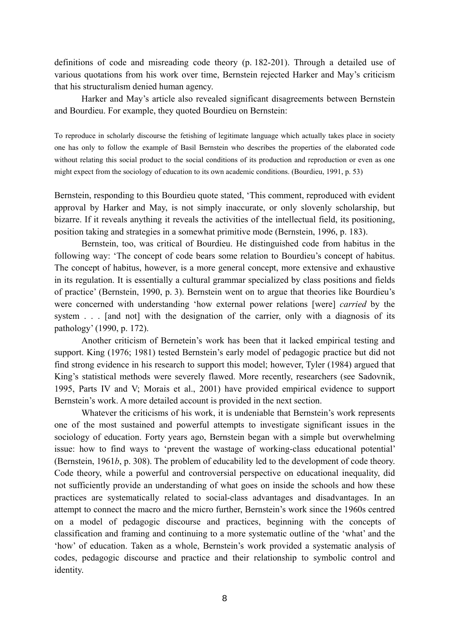definitions of code and misreading code theory (p. 182-201). Through a detailed use of various quotations from his work over time, Bernstein rejected Harker and May's criticism that his structuralism denied human agency.

 Harker and May's article also revealed significant disagreements between Bernstein and Bourdieu. For example, they quoted Bourdieu on Bernstein:

To reproduce in scholarly discourse the fetishing of legitimate language which actually takes place in society one has only to follow the example of Basil Bernstein who describes the properties of the elaborated code without relating this social product to the social conditions of its production and reproduction or even as one might expect from the sociology of education to its own academic conditions. (Bourdieu, 1991, p. 53)

Bernstein, responding to this Bourdieu quote stated, 'This comment, reproduced with evident approval by Harker and May, is not simply inaccurate, or only slovenly scholarship, but bizarre. If it reveals anything it reveals the activities of the intellectual field, its positioning, position taking and strategies in a somewhat primitive mode (Bernstein, 1996, p. 183).

 Bernstein, too, was critical of Bourdieu. He distinguished code from habitus in the following way: 'The concept of code bears some relation to Bourdieu's concept of habitus. The concept of habitus, however, is a more general concept, more extensive and exhaustive in its regulation. It is essentially a cultural grammar specialized by class positions and fields of practice' (Bernstein, 1990, p. 3). Bernstein went on to argue that theories like Bourdieu's were concerned with understanding 'how external power relations [were] *carried* by the system . . . [and not] with the designation of the carrier, only with a diagnosis of its pathology' (1990, p. 172).

 Another criticism of Bernetein's work has been that it lacked empirical testing and support. King (1976; 1981) tested Bernstein's early model of pedagogic practice but did not find strong evidence in his research to support this model; however, Tyler (1984) argued that King's statistical methods were severely flawed. More recently, researchers (see Sadovnik, 1995, Parts IV and V; Morais et al., 2001) have provided empirical evidence to support Bernstein's work. A more detailed account is provided in the next section.

 Whatever the criticisms of his work, it is undeniable that Bernstein's work represents one of the most sustained and powerful attempts to investigate significant issues in the sociology of education. Forty years ago, Bernstein began with a simple but overwhelming issue: how to find ways to 'prevent the wastage of working-class educational potential' (Bernstein, 1961*b*, p. 308). The problem of educability led to the development of code theory. Code theory, while a powerful and controversial perspective on educational inequality, did not sufficiently provide an understanding of what goes on inside the schools and how these practices are systematically related to social-class advantages and disadvantages. In an attempt to connect the macro and the micro further, Bernstein's work since the 1960s centred on a model of pedagogic discourse and practices, beginning with the concepts of classification and framing and continuing to a more systematic outline of the 'what' and the 'how' of education. Taken as a whole, Bernstein's work provided a systematic analysis of codes, pedagogic discourse and practice and their relationship to symbolic control and identity.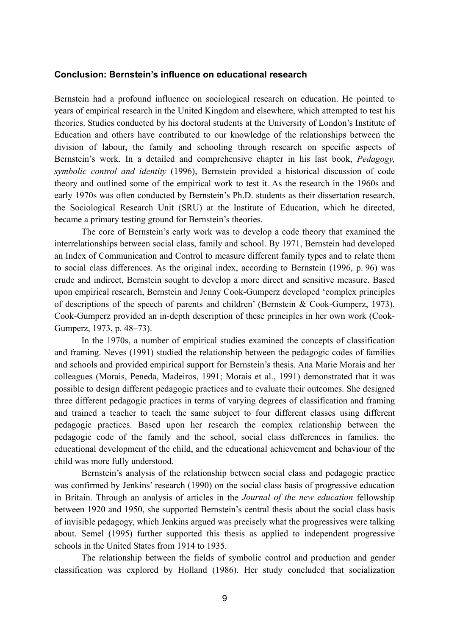## **Conclusion: Bernstein's influence on educational research**

Bernstein had a profound influence on sociological research on education. He pointed to years of empirical research in the United Kingdom and elsewhere, which attempted to test his theories. Studies conducted by his doctoral students at the University of London's Institute of Education and others have contributed to our knowledge of the relationships between the division of labour, the family and schooling through research on specific aspects of Bernstein's work. In a detailed and comprehensive chapter in his last book, *Pedagogy, symbolic control and identity* (1996), Bernstein provided a historical discussion of code theory and outlined some of the empirical work to test it. As the research in the 1960s and early 1970s was often conducted by Bernstein's Ph.D. students as their dissertation research, the Sociological Research Unit (SRU) at the Institute of Education, which he directed, became a primary testing ground for Bernstein's theories.

 The core of Bernstein's early work was to develop a code theory that examined the interrelationships between social class, family and school. By 1971, Bernstein had developed an Index of Communication and Control to measure different family types and to relate them to social class differences. As the original index, according to Bernstein (1996, p. 96) was crude and indirect, Bernstein sought to develop a more direct and sensitive measure. Based upon empirical research, Bernstein and Jenny Cook-Gumperz developed 'complex principles of descriptions of the speech of parents and children' (Bernstein & Cook-Gumperz, 1973). Cook-Gumperz provided an in-depth description of these principles in her own work (Cook-Gumperz, 1973, p. 48–73).

 In the 1970s, a number of empirical studies examined the concepts of classification and framing. Neves (1991) studied the relationship between the pedagogic codes of families and schools and provided empirical support for Bernstein's thesis. Ana Marie Morais and her colleagues (Morais, Peneda, Madeiros, 1991; Morais et al., 1991) demonstrated that it was possible to design different pedagogic practices and to evaluate their outcomes. She designed three different pedagogic practices in terms of varying degrees of classification and framing and trained a teacher to teach the same subject to four different classes using different pedagogic practices. Based upon her research the complex relationship between the pedagogic code of the family and the school, social class differences in families, the educational development of the child, and the educational achievement and behaviour of the child was more fully understood.

 Bernstein's analysis of the relationship between social class and pedagogic practice was confirmed by Jenkins' research (1990) on the social class basis of progressive education in Britain. Through an analysis of articles in the *Journal of the new education* fellowship between 1920 and 1950, she supported Bernstein's central thesis about the social class basis of invisible pedagogy, which Jenkins argued was precisely what the progressives were talking about. Semel (1995) further supported this thesis as applied to independent progressive schools in the United States from 1914 to 1935.

 The relationship between the fields of symbolic control and production and gender classification was explored by Holland (1986). Her study concluded that socialization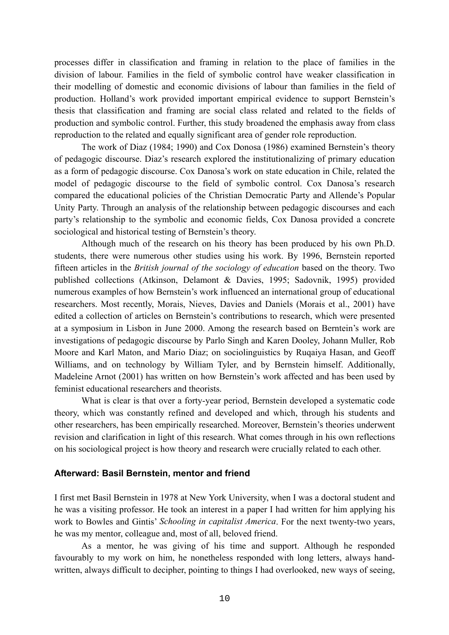processes differ in classification and framing in relation to the place of families in the division of labour. Families in the field of symbolic control have weaker classification in their modelling of domestic and economic divisions of labour than families in the field of production. Holland's work provided important empirical evidence to support Bernstein's thesis that classification and framing are social class related and related to the fields of production and symbolic control. Further, this study broadened the emphasis away from class reproduction to the related and equally significant area of gender role reproduction.

 The work of Diaz (1984; 1990) and Cox Donosa (1986) examined Bernstein's theory of pedagogic discourse. Diaz's research explored the institutionalizing of primary education as a form of pedagogic discourse. Cox Danosa's work on state education in Chile, related the model of pedagogic discourse to the field of symbolic control. Cox Danosa's research compared the educational policies of the Christian Democratic Party and Allende's Popular Unity Party. Through an analysis of the relationship between pedagogic discourses and each party's relationship to the symbolic and economic fields, Cox Danosa provided a concrete sociological and historical testing of Bernstein's theory.

 Although much of the research on his theory has been produced by his own Ph.D. students, there were numerous other studies using his work. By 1996, Bernstein reported fifteen articles in the *British journal of the sociology of education* based on the theory. Two published collections (Atkinson, Delamont & Davies, 1995; Sadovnik, 1995) provided numerous examples of how Bernstein's work influenced an international group of educational researchers. Most recently, Morais, Nieves, Davies and Daniels (Morais et al., 2001) have edited a collection of articles on Bernstein's contributions to research, which were presented at a symposium in Lisbon in June 2000. Among the research based on Berntein's work are investigations of pedagogic discourse by Parlo Singh and Karen Dooley, Johann Muller, Rob Moore and Karl Maton, and Mario Diaz; on sociolinguistics by Ruqaiya Hasan, and Geoff Williams, and on technology by William Tyler, and by Bernstein himself. Additionally, Madeleine Arnot (2001) has written on how Bernstein's work affected and has been used by feminist educational researchers and theorists.

 What is clear is that over a forty-year period, Bernstein developed a systematic code theory, which was constantly refined and developed and which, through his students and other researchers, has been empirically researched. Moreover, Bernstein's theories underwent revision and clarification in light of this research. What comes through in his own reflections on his sociological project is how theory and research were crucially related to each other.

### **Afterward: Basil Bernstein, mentor and friend**

I first met Basil Bernstein in 1978 at New York University, when I was a doctoral student and he was a visiting professor. He took an interest in a paper I had written for him applying his work to Bowles and Gintis' *Schooling in capitalist America*. For the next twenty-two years, he was my mentor, colleague and, most of all, beloved friend.

 As a mentor, he was giving of his time and support. Although he responded favourably to my work on him, he nonetheless responded with long letters, always handwritten, always difficult to decipher, pointing to things I had overlooked, new ways of seeing,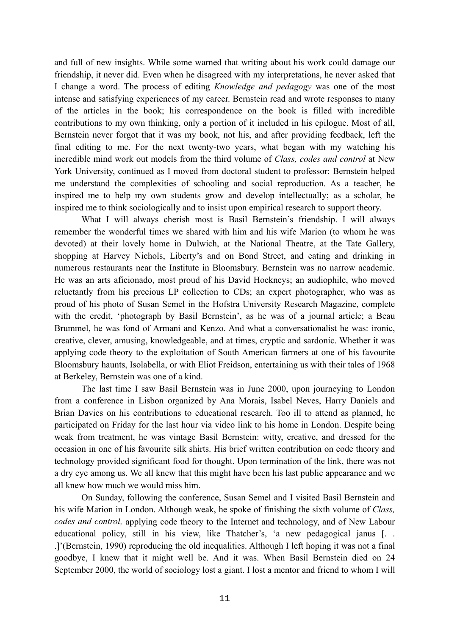and full of new insights. While some warned that writing about his work could damage our friendship, it never did. Even when he disagreed with my interpretations, he never asked that I change a word. The process of editing *Knowledge and pedagogy* was one of the most intense and satisfying experiences of my career. Bernstein read and wrote responses to many of the articles in the book; his correspondence on the book is filled with incredible contributions to my own thinking, only a portion of it included in his epilogue. Most of all, Bernstein never forgot that it was my book, not his, and after providing feedback, left the final editing to me. For the next twenty-two years, what began with my watching his incredible mind work out models from the third volume of *Class, codes and control* at New York University, continued as I moved from doctoral student to professor: Bernstein helped me understand the complexities of schooling and social reproduction. As a teacher, he inspired me to help my own students grow and develop intellectually; as a scholar, he inspired me to think sociologically and to insist upon empirical research to support theory.

 What I will always cherish most is Basil Bernstein's friendship. I will always remember the wonderful times we shared with him and his wife Marion (to whom he was devoted) at their lovely home in Dulwich, at the National Theatre, at the Tate Gallery, shopping at Harvey Nichols, Liberty's and on Bond Street, and eating and drinking in numerous restaurants near the Institute in Bloomsbury. Bernstein was no narrow academic. He was an arts aficionado, most proud of his David Hockneys; an audiophile, who moved reluctantly from his precious LP collection to CDs; an expert photographer, who was as proud of his photo of Susan Semel in the Hofstra University Research Magazine, complete with the credit, 'photograph by Basil Bernstein', as he was of a journal article; a Beau Brummel, he was fond of Armani and Kenzo. And what a conversationalist he was: ironic, creative, clever, amusing, knowledgeable, and at times, cryptic and sardonic. Whether it was applying code theory to the exploitation of South American farmers at one of his favourite Bloomsbury haunts, Isolabella, or with Eliot Freidson, entertaining us with their tales of 1968 at Berkeley, Bernstein was one of a kind.

 The last time I saw Basil Bernstein was in June 2000, upon journeying to London from a conference in Lisbon organized by Ana Morais, Isabel Neves, Harry Daniels and Brian Davies on his contributions to educational research. Too ill to attend as planned, he participated on Friday for the last hour via video link to his home in London. Despite being weak from treatment, he was vintage Basil Bernstein: witty, creative, and dressed for the occasion in one of his favourite silk shirts. His brief written contribution on code theory and technology provided significant food for thought. Upon termination of the link, there was not a dry eye among us. We all knew that this might have been his last public appearance and we all knew how much we would miss him.

 On Sunday, following the conference, Susan Semel and I visited Basil Bernstein and his wife Marion in London. Although weak, he spoke of finishing the sixth volume of *Class, codes and control,* applying code theory to the Internet and technology, and of New Labour educational policy, still in his view, like Thatcher's, 'a new pedagogical janus [. . .]'(Bernstein, 1990) reproducing the old inequalities. Although I left hoping it was not a final goodbye, I knew that it might well be. And it was. When Basil Bernstein died on 24 September 2000, the world of sociology lost a giant. I lost a mentor and friend to whom I will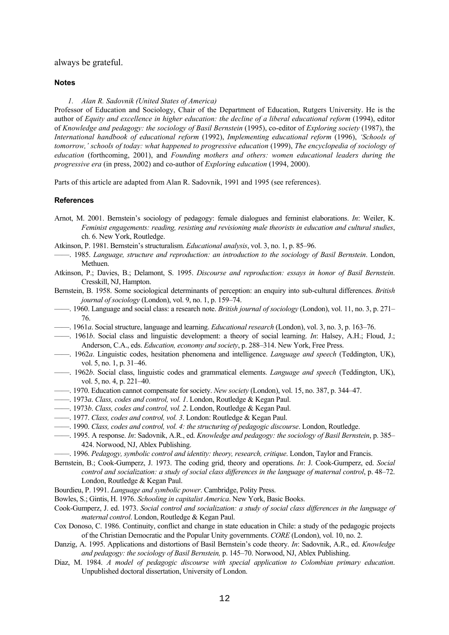always be grateful.

#### **Notes**

#### *1. Alan R. Sadovnik (United States of America)*

Professor of Education and Sociology, Chair of the Department of Education, Rutgers University. He is the author of *Equity and excellence in higher education: the decline of a liberal educational reform* (1994), editor of *Knowledge and pedagogy: the sociology of Basil Bernstein* (1995), co-editor of *Exploring society* (1987), the *International handbook of educational reform* (1992), *Implementing educational reform* (1996), *'Schools of tomorrow,' schools of today: what happened to progressive education* (1999), *The encyclopedia of sociology of education* (forthcoming, 2001), and *Founding mothers and others: women educational leaders during the progressive era* (in press, 2002) and co-author of *Exploring education* (1994, 2000).

Parts of this article are adapted from Alan R. Sadovnik, 1991 and 1995 (see references).

#### **References**

- Arnot, M. 2001. Bernstein's sociology of pedagogy: female dialogues and feminist elaborations. *In*: Weiler, K. *Feminist engagements: reading, resisting and revisioning male theorists in education and cultural studies*, ch. 6. New York, Routledge.
- Atkinson, P. 1981. Bernstein's structuralism. *Educational analysis*, vol. 3, no. 1, p. 85–96.
- ——. 1985. *Language, structure and reproduction: an introduction to the sociology of Basil Bernstein*. London, Methuen.
- Atkinson, P.; Davies, B.; Delamont, S. 1995. *Discourse and reproduction: essays in honor of Basil Bernstein*. Cresskill, NJ, Hampton.
- Bernstein, B. 1958. Some sociological determinants of perception: an enquiry into sub-cultural differences. *British journal of sociology* (London), vol. 9, no. 1, p. 159–74.
- ——. 1960. Language and social class: a research note. *British journal of sociology* (London), vol. 11, no. 3, p. 271– 76.
- ——. 1961*a*. Social structure, language and learning. *Educational research* (London), vol. 3, no. 3, p. 163–76.
- ——. 1961*b*. Social class and linguistic development: a theory of social learning. *In*: Halsey, A.H.; Floud, J.; Anderson, C.A., eds. *Education, economy and society*, p. 288–314. New York, Free Press.
- ——. 1962*a*. Linguistic codes, hesitation phenomena and intelligence. *Language and speech* (Teddington, UK), vol. 5, no. 1, p. 31–46.
- ——. 1962*b*. Social class, linguistic codes and grammatical elements. *Language and speech* (Teddington, UK), vol. 5, no. 4, p. 221–40.
- ——. 1970. Education cannot compensate for society. *New society* (London), vol. 15, no. 387, p. 344–47.
- ——. 1973*a*. *Class, codes and control, vol. 1*. London, Routledge & Kegan Paul.
- ——. 1973*b*. *Class, codes and control, vol. 2*. London, Routledge & Kegan Paul.
- ——. 1977. *Class, codes and control, vol. 3*. London: Routledge & Kegan Paul.
- ——. 1990. *Class, codes and control, vol. 4: the structuring of pedagogic discourse*. London, Routledge.
- ——. 1995. A response. *In*: Sadovnik, A.R., ed. *Knowledge and pedagogy: the sociology of Basil Bernstein*, p. 385– 424. Norwood, NJ, Ablex Publishing.
- ——. 1996. *Pedagogy, symbolic control and identity: theory, research, critique*. London, Taylor and Francis.
- Bernstein, B.; Cook-Gumperz, J. 1973. The coding grid, theory and operations. *In*: J. Cook-Gumperz, ed. *Social control and socialization: a study of social class differences in the language of maternal control*, p. 48–72. London, Routledge & Kegan Paul.
- Bourdieu, P. 1991. *Language and symbolic power*. Cambridge, Polity Press.
- Bowles, S.; Gintis, H. 1976. *Schooling in capitalist America*. New York, Basic Books.
- Cook-Gumperz, J. ed. 1973. *Social control and socialization: a study of social class differences in the language of maternal control*. London, Routledge & Kegan Paul.
- Cox Donoso, C. 1986. Continuity, conflict and change in state education in Chile: a study of the pedagogic projects of the Christian Democratic and the Popular Unity governments. *CORE* (London), vol. 10, no. 2.
- Danzig, A. 1995. Applications and distortions of Basil Bernstein's code theory. *In*: Sadovnik, A.R., ed. *Knowledge and pedagogy: the sociology of Basil Bernstein,* p. 145–70. Norwood, NJ, Ablex Publishing.
- Diaz, M. 1984. *A model of pedagogic discourse with special application to Colombian primary education*. Unpublished doctoral dissertation, University of London.